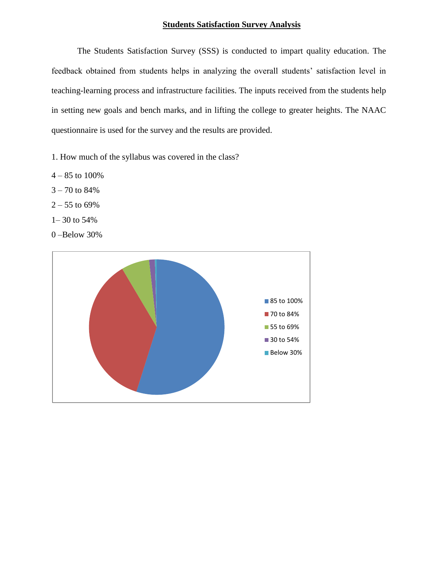## **Students Satisfaction Survey Analysis**

The Students Satisfaction Survey (SSS) is conducted to impart quality education. The feedback obtained from students helps in analyzing the overall students' satisfaction level in teaching-learning process and infrastructure facilities. The inputs received from the students help in setting new goals and bench marks, and in lifting the college to greater heights. The NAAC questionnaire is used for the survey and the results are provided.

1. How much of the syllabus was covered in the class?

- $4 85$  to  $100\%$
- $3 70$  to  $84%$
- $2 55$  to 69%
- 1– 30 to 54%
- 0 –Below 30%

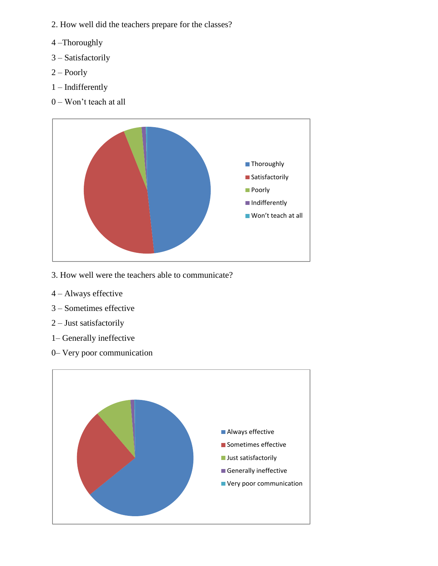- 2. How well did the teachers prepare for the classes?
- 4 –Thoroughly
- 3 Satisfactorily
- 2 Poorly
- 1 Indifferently
- 0 Won't teach at all



- 3. How well were the teachers able to communicate?
- 4 Always effective
- 3 Sometimes effective
- 2 Just satisfactorily
- 1– Generally ineffective
- 0– Very poor communication

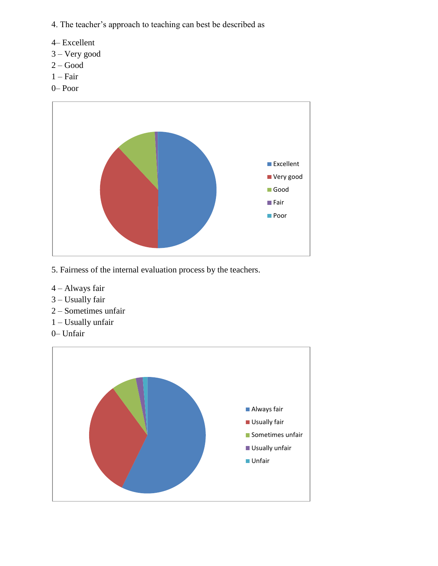4. The teacher's approach to teaching can best be described as

- 4– Excellent
- 3 Very good
- $2 Good$
- $1 Fair$
- 0– Poor



- 5. Fairness of the internal evaluation process by the teachers.
- 4 Always fair
- 3 Usually fair
- 2 Sometimes unfair
- 1 Usually unfair
- 0– Unfair

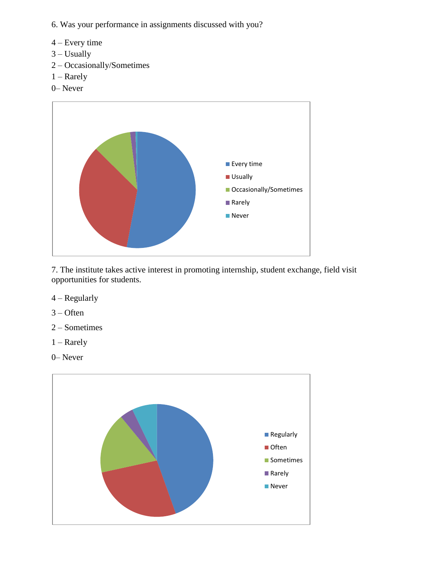- 6. Was your performance in assignments discussed with you?
- 4 Every time
- $3 -$ Usually
- 2 Occasionally/Sometimes
- 1 Rarely
- 0– Never



7. The institute takes active interest in promoting internship, student exchange, field visit opportunities for students.

- 4 Regularly
- 3 Often
- 2 Sometimes
- 1 Rarely
- 0– Never

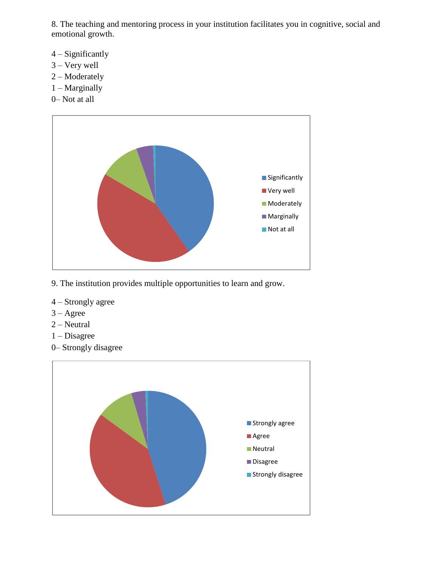8. The teaching and mentoring process in your institution facilitates you in cognitive, social and emotional growth.

- 4 Significantly
- 3 Very well
- 2 Moderately
- 1 Marginally
- 0– Not at all



- 9. The institution provides multiple opportunities to learn and grow.
- 4 Strongly agree
- 3 Agree
- 2 Neutral
- 1 Disagree
- 0– Strongly disagree

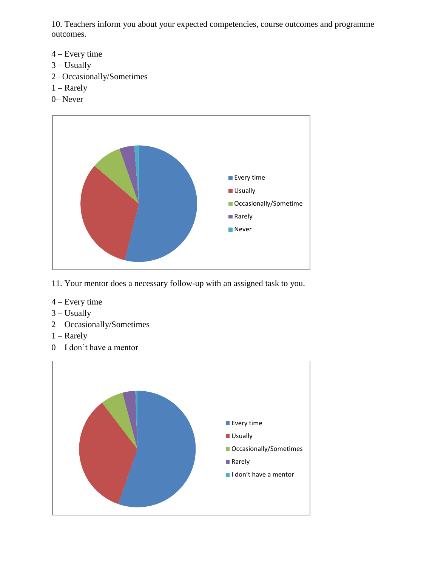10. Teachers inform you about your expected competencies, course outcomes and programme outcomes.

- 4 Every time
- $3 -$ Usually
- 2– Occasionally/Sometimes
- 1 Rarely
- 0– Never



- 11. Your mentor does a necessary follow-up with an assigned task to you.
- 4 Every time
- 3 Usually
- 2 Occasionally/Sometimes
- 1 Rarely
- 0 I don't have a mentor

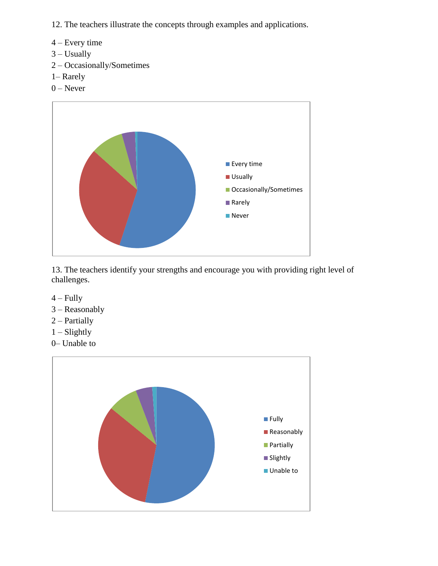- 12. The teachers illustrate the concepts through examples and applications.
- 4 Every time
- $3 -$ Usually
- 2 Occasionally/Sometimes
- 1– Rarely
- 0 Never



13. The teachers identify your strengths and encourage you with providing right level of challenges.

- $4 Fully$
- 3 Reasonably
- 2 Partially
- 1 Slightly
- 0– Unable to

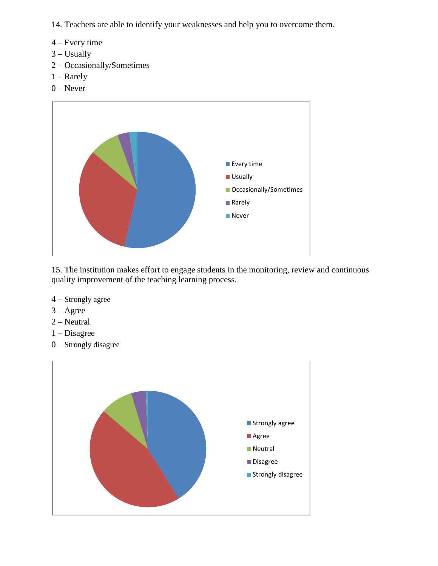14. Teachers are able to identify your weaknesses and help you to overcome them.

- 4 Every time
- 3 Usually
- 2 Occasionally/Sometimes
- 1 Rarely
- $0$  Never



15. The institution makes effort to engage students in the monitoring, review and continuous quality improvement of the teaching learning process.

- 4 Strongly agree
- $3 \text{Agree}$
- 2 Neutral
- 1 Disagree
- 0 Strongly disagree

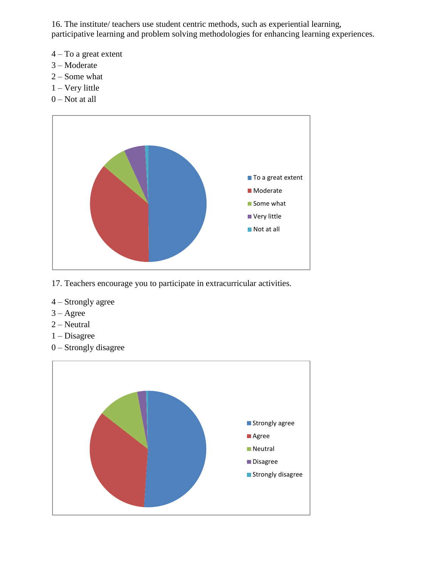16. The institute/ teachers use student centric methods, such as experiential learning, participative learning and problem solving methodologies for enhancing learning experiences.

- 4 To a great extent
- 3 Moderate
- 2 Some what
- 1 Very little
- $0$  Not at all



- 17. Teachers encourage you to participate in extracurricular activities.
- 4 Strongly agree
- 3 Agree
- 2 Neutral
- 1 Disagree
- 0 Strongly disagree

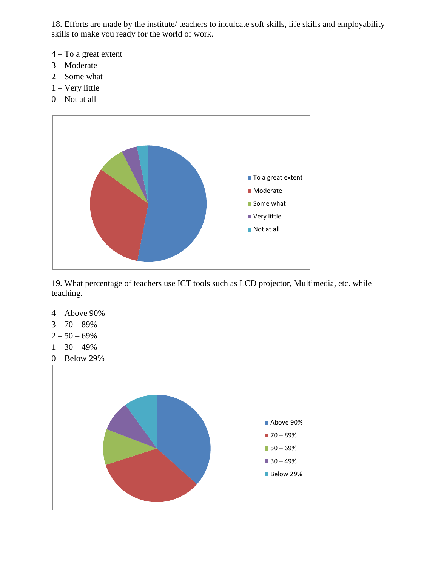18. Efforts are made by the institute/ teachers to inculcate soft skills, life skills and employability skills to make you ready for the world of work.

- 4 To a great extent
- 3 Moderate
- 2 Some what
- 1 Very little
- $0$  Not at all



19. What percentage of teachers use ICT tools such as LCD projector, Multimedia, etc. while teaching.

- 4 Above 90%
- $3 70 89%$
- $2 50 69%$
- $1 30 49%$
- 0 Below 29%